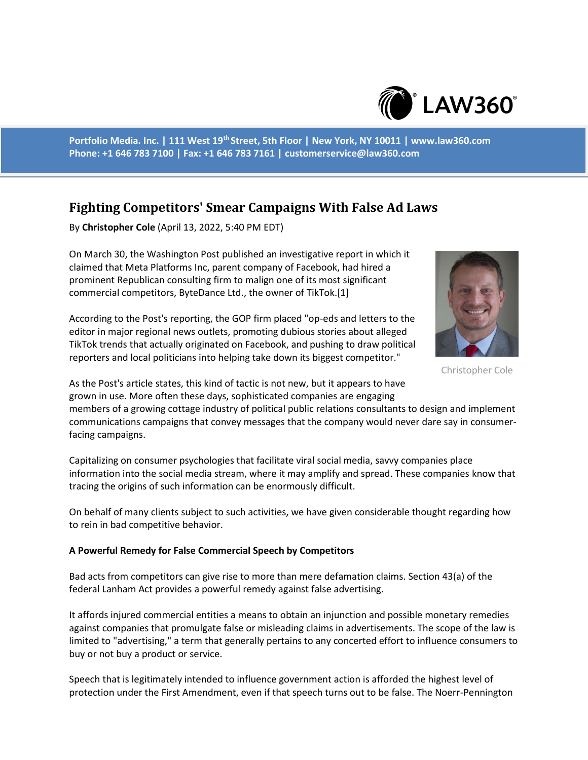

**Portfolio Media. Inc. | 111 West 19th Street, 5th Floor | New York, NY 10011 | www.law360.com Phone: +1 646 783 7100 | Fax: +1 646 783 7161 | customerservice@law360.com**

## **Fighting Competitors' Smear Campaigns With False Ad Laws**

By **Christopher Cole** (April 13, 2022, 5:40 PM EDT)

On March 30, the Washington Post published an investigative report in which it claimed that Meta Platforms Inc, parent company of Facebook, had hired a prominent Republican consulting firm to malign one of its most significant commercial competitors, ByteDance Ltd., the owner of TikTok.[1]

According to the Post's reporting, the GOP firm placed "op-eds and letters to the editor in major regional news outlets, promoting dubious stories about alleged TikTok trends that actually originated on Facebook, and pushing to draw political reporters and local politicians into helping take down its biggest competitor."



Christopher Cole

As the Post's article states, this kind of tactic is not new, but it appears to have grown in use. More often these days, sophisticated companies are engaging

members of a growing cottage industry of political public relations consultants to design and implement communications campaigns that convey messages that the company would never dare say in consumerfacing campaigns.

Capitalizing on consumer psychologies that facilitate viral social media, savvy companies place information into the social media stream, where it may amplify and spread. These companies know that tracing the origins of such information can be enormously difficult.

On behalf of many clients subject to such activities, we have given considerable thought regarding how to rein in bad competitive behavior.

## **A Powerful Remedy for False Commercial Speech by Competitors**

Bad acts from competitors can give rise to more than mere defamation claims. Section 43(a) of the federal Lanham Act provides a powerful remedy against false advertising.

It affords injured commercial entities a means to obtain an injunction and possible monetary remedies against companies that promulgate false or misleading claims in advertisements. The scope of the law is limited to "advertising," a term that generally pertains to any concerted effort to influence consumers to buy or not buy a product or service.

Speech that is legitimately intended to influence government action is afforded the highest level of protection under the First Amendment, even if that speech turns out to be false. The Noerr-Pennington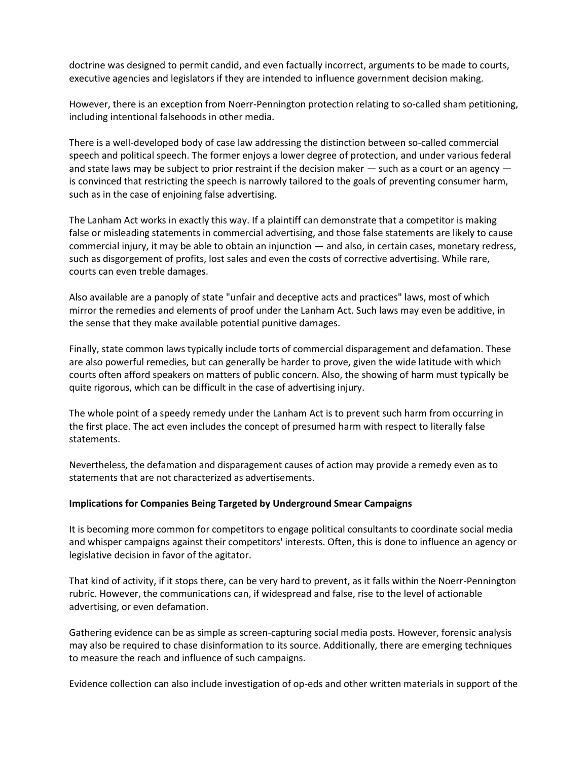doctrine was designed to permit candid, and even factually incorrect, arguments to be made to courts, executive agencies and legislators if they are intended to influence government decision making.

However, there is an exception from Noerr-Pennington protection relating to so-called sham petitioning, including intentional falsehoods in other media.

There is a well-developed body of case law addressing the distinction between so-called commercial speech and political speech. The former enjoys a lower degree of protection, and under various federal and state laws may be subject to prior restraint if the decision maker  $-$  such as a court or an agency  $$ is convinced that restricting the speech is narrowly tailored to the goals of preventing consumer harm, such as in the case of enjoining false advertising.

The Lanham Act works in exactly this way. If a plaintiff can demonstrate that a competitor is making false or misleading statements in commercial advertising, and those false statements are likely to cause commercial injury, it may be able to obtain an injunction — and also, in certain cases, monetary redress, such as disgorgement of profits, lost sales and even the costs of corrective advertising. While rare, courts can even treble damages.

Also available are a panoply of state "unfair and deceptive acts and practices" laws, most of which mirror the remedies and elements of proof under the Lanham Act. Such laws may even be additive, in the sense that they make available potential punitive damages.

Finally, state common laws typically include torts of commercial disparagement and defamation. These are also powerful remedies, but can generally be harder to prove, given the wide latitude with which courts often afford speakers on matters of public concern. Also, the showing of harm must typically be quite rigorous, which can be difficult in the case of advertising injury.

The whole point of a speedy remedy under the Lanham Act is to prevent such harm from occurring in the first place. The act even includes the concept of presumed harm with respect to literally false statements.

Nevertheless, the defamation and disparagement causes of action may provide a remedy even as to statements that are not characterized as advertisements.

## **Implications for Companies Being Targeted by Underground Smear Campaigns**

It is becoming more common for competitors to engage political consultants to coordinate social media and whisper campaigns against their competitors' interests. Often, this is done to influence an agency or legislative decision in favor of the agitator.

That kind of activity, if it stops there, can be very hard to prevent, as it falls within the Noerr-Pennington rubric. However, the communications can, if widespread and false, rise to the level of actionable advertising, or even defamation.

Gathering evidence can be as simple as screen-capturing social media posts. However, forensic analysis may also be required to chase disinformation to its source. Additionally, there are emerging techniques to measure the reach and influence of such campaigns.

Evidence collection can also include investigation of op-eds and other written materials in support of the